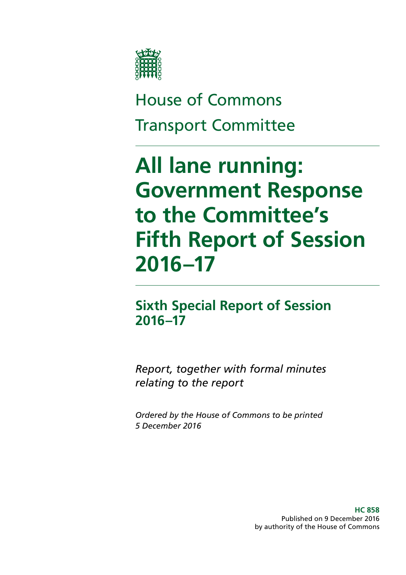

# House of Commons Transport Committee

# **All lane running: Government Response to the Committee's Fifth Report of Session 2016–17**

# **Sixth Special Report of Session 2016–17**

*Report, together with formal minutes relating to the report*

*Ordered by the House of Commons to be printed 5 December 2016*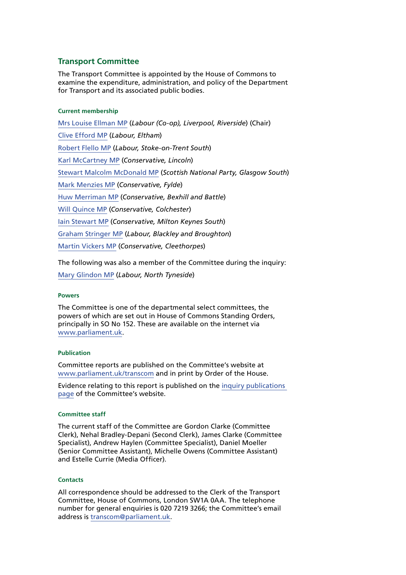### **Transport Committee**

The Transport Committee is appointed by the House of Commons to examine the expenditure, administration, and policy of the Department for Transport and its associated public bodies.

### **Current membership**

[Mrs Louise Ellman MP](http://www.parliament.uk/biographies/commons/mrs-louise-ellman/484) (*Labour (Co-op), Liverpool, Riverside*) (Chair) [Clive Efford MP](http://www.parliament.uk/biographies/commons/clive-efford/165) (*Labour, Eltham*) [Robert Flello MP](http://www.parliament.uk/biographies/commons/robert-flello/1569) (*Labour, Stoke-on-Trent South*) [Karl McCartney MP](http://www.parliament.uk/biographies/commons/karl-mccartney/4028) (*Conservative, Lincoln*) [Stewart Malcolm McDonald MP](http://www.parliament.uk/biographies/commons/stewart-malcolm-mcdonald/4461) (*Scottish National Party, Glasgow South*) [Mark Menzies MP](http://www.parliament.uk/biographies/commons/mark-menzies/3998) (*Conservative, Fylde*) [Huw Merriman MP](http://www.parliament.uk/biographies/commons/huw-merriman/4442) (*Conservative, Bexhill and Battle*) [Will Quince MP](http://www.parliament.uk/biographies/commons/will-quince/4423) (*Conservative, Colchester*) [Iain Stewart MP](http://www.parliament.uk/biographies/commons/iain-stewart/4015) (*Conservative, Milton Keynes South*) [Graham Stringer MP](http://www.parliament.uk/biographies/commons/graham-stringer/449) (*Labour, Blackley and Broughton*) [Martin Vickers MP](http://www.parliament.uk/biographies/commons/martin-vickers/3957) (*Conservative, Cleethorpes*)

The following was also a member of the Committee during the inquiry:

[Mary Glindon MP](http://www.parliament.uk/biographies/commons/mary-glindon/4126) (*Labour, North Tyneside*)

### **Powers**

The Committee is one of the departmental select committees, the powers of which are set out in House of Commons Standing Orders, principally in SO No 152. These are available on the internet via [www.parliament.uk](http://www.parliament.uk/).

#### **Publication**

Committee reports are published on the Committee's website at [www.parliament.uk/transcom](http://www.parliament.uk/transcom) and in print by Order of the House.

Evidence relating to this report is published on the [inquiry publications](http://www.parliament.uk/business/committees/committees-a-z/commons-select/transport-committee/inquiries/parliament-2015/inquiry/)  [page](http://www.parliament.uk/business/committees/committees-a-z/commons-select/transport-committee/inquiries/parliament-2015/inquiry/) of the Committee's website.

#### **Committee staff**

The current staff of the Committee are Gordon Clarke (Committee Clerk), Nehal Bradley-Depani (Second Clerk), James Clarke (Committee Specialist), Andrew Haylen (Committee Specialist), Daniel Moeller (Senior Committee Assistant), Michelle Owens (Committee Assistant) and Estelle Currie (Media Officer).

#### **Contacts**

All correspondence should be addressed to the Clerk of the Transport Committee, House of Commons, London SW1A 0AA. The telephone number for general enquiries is 020 7219 3266; the Committee's email address is [transcom@parliament.uk.](mailto:transcom@parliament.uk)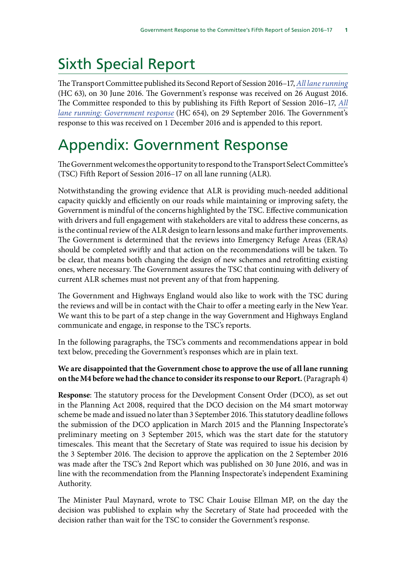# Sixth Special Report

The Transport Committee published its Second Report of Session 2016–17, *[All lane running](http://www.publications.parliament.uk/pa/cm201617/cmselect/cmtrans/63/63.pdf)*  (HC 63), on 30 June 2016. The Government's response was received on 26 August 2016. The Committee responded to this by publishing its Fifth Report of Session 2016–17, *[All](http://www.publications.parliament.uk/pa/cm201617/cmselect/cmtrans/654/654.pdf) [lane running: Government response](http://www.publications.parliament.uk/pa/cm201617/cmselect/cmtrans/654/654.pdf)* (HC 654), on 29 September 2016. The Government's response to this was received on 1 December 2016 and is appended to this report.

# Appendix: Government Response

The Government welcomes the opportunity to respond to the Transport Select Committee's (TSC) Fifth Report of Session 2016–17 on all lane running (ALR).

Notwithstanding the growing evidence that ALR is providing much-needed additional capacity quickly and efficiently on our roads while maintaining or improving safety, the Government is mindful of the concerns highlighted by the TSC. Effective communication with drivers and full engagement with stakeholders are vital to address these concerns, as is the continual review of the ALR design to learn lessons and make further improvements. The Government is determined that the reviews into Emergency Refuge Areas (ERAs) should be completed swiftly and that action on the recommendations will be taken. To be clear, that means both changing the design of new schemes and retrofitting existing ones, where necessary. The Government assures the TSC that continuing with delivery of current ALR schemes must not prevent any of that from happening.

The Government and Highways England would also like to work with the TSC during the reviews and will be in contact with the Chair to offer a meeting early in the New Year. We want this to be part of a step change in the way Government and Highways England communicate and engage, in response to the TSC's reports.

In the following paragraphs, the TSC's comments and recommendations appear in bold text below, preceding the Government's responses which are in plain text.

## **We are disappointed that the Government chose to approve the use of all lane running on the M4 before we had the chance to consider its response to our Report.** (Paragraph 4)

**Response**: The statutory process for the Development Consent Order (DCO), as set out in the Planning Act 2008, required that the DCO decision on the M4 smart motorway scheme be made and issued no later than 3 September 2016. This statutory deadline follows the submission of the DCO application in March 2015 and the Planning Inspectorate's preliminary meeting on 3 September 2015, which was the start date for the statutory timescales. This meant that the Secretary of State was required to issue his decision by the 3 September 2016. The decision to approve the application on the 2 September 2016 was made after the TSC's 2nd Report which was published on 30 June 2016, and was in line with the recommendation from the Planning Inspectorate's independent Examining Authority.

The Minister Paul Maynard, wrote to TSC Chair Louise Ellman MP, on the day the decision was published to explain why the Secretary of State had proceeded with the decision rather than wait for the TSC to consider the Government's response.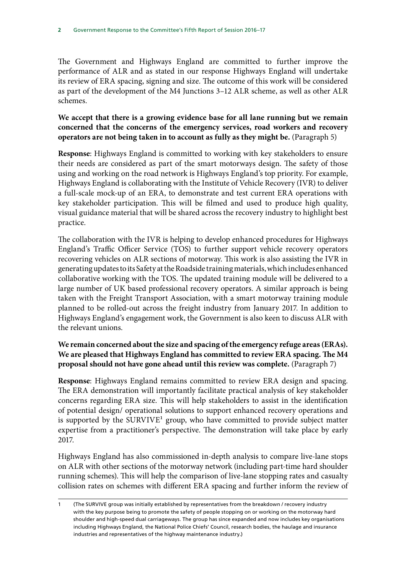The Government and Highways England are committed to further improve the performance of ALR and as stated in our response Highways England will undertake its review of ERA spacing, signing and size. The outcome of this work will be considered as part of the development of the M4 Junctions 3–12 ALR scheme, as well as other ALR schemes.

**We accept that there is a growing evidence base for all lane running but we remain concerned that the concerns of the emergency services, road workers and recovery operators are not being taken in to account as fully as they might be.** (Paragraph 5)

**Response**: Highways England is committed to working with key stakeholders to ensure their needs are considered as part of the smart motorways design. The safety of those using and working on the road network is Highways England's top priority. For example, Highways England is collaborating with the Institute of Vehicle Recovery (IVR) to deliver a full-scale mock-up of an ERA, to demonstrate and test current ERA operations with key stakeholder participation. This will be filmed and used to produce high quality, visual guidance material that will be shared across the recovery industry to highlight best practice.

The collaboration with the IVR is helping to develop enhanced procedures for Highways England's Traffic Officer Service (TOS) to further support vehicle recovery operators recovering vehicles on ALR sections of motorway. This work is also assisting the IVR in generating updates to its Safety at the Roadside training materials, which includes enhanced collaborative working with the TOS. The updated training module will be delivered to a large number of UK based professional recovery operators. A similar approach is being taken with the Freight Transport Association, with a smart motorway training module planned to be rolled-out across the freight industry from January 2017. In addition to Highways England's engagement work, the Government is also keen to discuss ALR with the relevant unions.

### **We remain concerned about the size and spacing of the emergency refuge areas (ERAs). We are pleased that Highways England has committed to review ERA spacing. The M4 proposal should not have gone ahead until this review was complete.** (Paragraph 7)

**Response**: Highways England remains committed to review ERA design and spacing. The ERA demonstration will importantly facilitate practical analysis of key stakeholder concerns regarding ERA size. This will help stakeholders to assist in the identification of potential design/ operational solutions to support enhanced recovery operations and is supported by the SURVIVE<sup>1</sup> group, who have committed to provide subject matter expertise from a practitioner's perspective. The demonstration will take place by early 2017.

Highways England has also commissioned in-depth analysis to compare live-lane stops on ALR with other sections of the motorway network (including part-time hard shoulder running schemes). This will help the comparison of live-lane stopping rates and casualty collision rates on schemes with different ERA spacing and further inform the review of

<sup>(</sup>The SURVIVE group was initially established by representatives from the breakdown / recovery industry with the key purpose being to promote the safety of people stopping on or working on the motorway hard shoulder and high-speed dual carriageways. The group has since expanded and now includes key organisations including Highways England, the National Police Chiefs' Council, research bodies, the haulage and insurance industries and representatives of the highway maintenance industry.)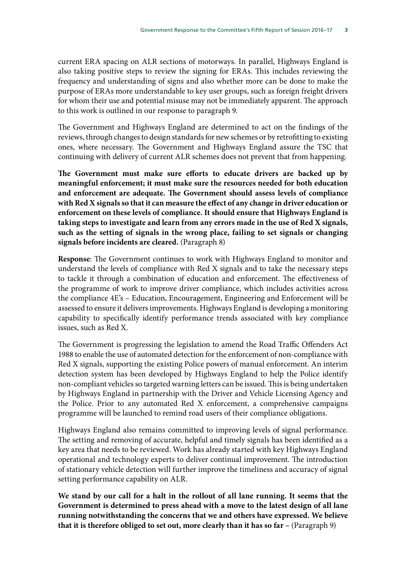current ERA spacing on ALR sections of motorways. In parallel, Highways England is also taking positive steps to review the signing for ERAs. This includes reviewing the frequency and understanding of signs and also whether more can be done to make the purpose of ERAs more understandable to key user groups, such as foreign freight drivers for whom their use and potential misuse may not be immediately apparent. The approach to this work is outlined in our response to paragraph 9.

The Government and Highways England are determined to act on the findings of the reviews, through changes to design standards for new schemes or by retrofitting to existing ones, where necessary. The Government and Highways England assure the TSC that continuing with delivery of current ALR schemes does not prevent that from happening.

**The Government must make sure efforts to educate drivers are backed up by meaningful enforcement; it must make sure the resources needed for both education and enforcement are adequate. The Government should assess levels of compliance with Red X signals so that it can measure the effect of any change in driver education or enforcement on these levels of compliance. It should ensure that Highways England is taking steps to investigate and learn from any errors made in the use of Red X signals, such as the setting of signals in the wrong place, failing to set signals or changing signals before incidents are cleared.** (Paragraph 8)

**Response**: The Government continues to work with Highways England to monitor and understand the levels of compliance with Red X signals and to take the necessary steps to tackle it through a combination of education and enforcement. The effectiveness of the programme of work to improve driver compliance, which includes activities across the compliance 4E's – Education, Encouragement, Engineering and Enforcement will be assessed to ensure it delivers improvements. Highways England is developing a monitoring capability to specifically identify performance trends associated with key compliance issues, such as Red X.

The Government is progressing the legislation to amend the Road Traffic Offenders Act 1988 to enable the use of automated detection for the enforcement of non-compliance with Red X signals, supporting the existing Police powers of manual enforcement. An interim detection system has been developed by Highways England to help the Police identify non-compliant vehicles so targeted warning letters can be issued. This is being undertaken by Highways England in partnership with the Driver and Vehicle Licensing Agency and the Police. Prior to any automated Red X enforcement, a comprehensive campaigns programme will be launched to remind road users of their compliance obligations.

Highways England also remains committed to improving levels of signal performance. The setting and removing of accurate, helpful and timely signals has been identified as a key area that needs to be reviewed. Work has already started with key Highways England operational and technology experts to deliver continual improvement. The introduction of stationary vehicle detection will further improve the timeliness and accuracy of signal setting performance capability on ALR.

**We stand by our call for a halt in the rollout of all lane running. It seems that the Government is determined to press ahead with a move to the latest design of all lane running notwithstanding the concerns that we and others have expressed. We believe that it is therefore obliged to set out, more clearly than it has so far –** (Paragraph 9)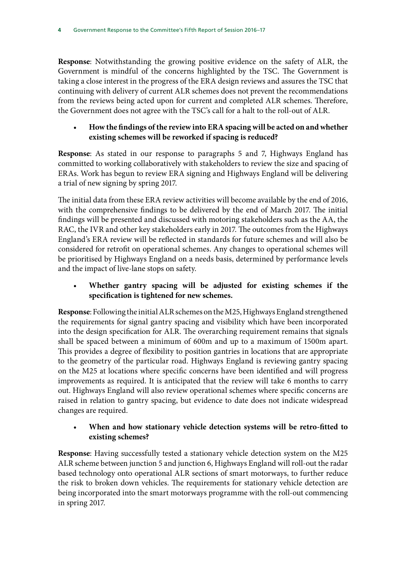**Response**: Notwithstanding the growing positive evidence on the safety of ALR, the Government is mindful of the concerns highlighted by the TSC. The Government is taking a close interest in the progress of the ERA design reviews and assures the TSC that continuing with delivery of current ALR schemes does not prevent the recommendations from the reviews being acted upon for current and completed ALR schemes. Therefore, the Government does not agree with the TSC's call for a halt to the roll-out of ALR.

## • **How the findings of the review into ERA spacing will be acted on and whether existing schemes will be reworked if spacing is reduced?**

**Response**: As stated in our response to paragraphs 5 and 7, Highways England has committed to working collaboratively with stakeholders to review the size and spacing of ERAs. Work has begun to review ERA signing and Highways England will be delivering a trial of new signing by spring 2017.

The initial data from these ERA review activities will become available by the end of 2016, with the comprehensive findings to be delivered by the end of March 2017. The initial findings will be presented and discussed with motoring stakeholders such as the AA, the RAC, the IVR and other key stakeholders early in 2017. The outcomes from the Highways England's ERA review will be reflected in standards for future schemes and will also be considered for retrofit on operational schemes. Any changes to operational schemes will be prioritised by Highways England on a needs basis, determined by performance levels and the impact of live-lane stops on safety.

## • **Whether gantry spacing will be adjusted for existing schemes if the specification is tightened for new schemes.**

**Response**: Following the initial ALR schemes on the M25, Highways England strengthened the requirements for signal gantry spacing and visibility which have been incorporated into the design specification for ALR. The overarching requirement remains that signals shall be spaced between a minimum of 600m and up to a maximum of 1500m apart. This provides a degree of flexibility to position gantries in locations that are appropriate to the geometry of the particular road. Highways England is reviewing gantry spacing on the M25 at locations where specific concerns have been identified and will progress improvements as required. It is anticipated that the review will take 6 months to carry out. Highways England will also review operational schemes where specific concerns are raised in relation to gantry spacing, but evidence to date does not indicate widespread changes are required.

## • **When and how stationary vehicle detection systems will be retro-fitted to existing schemes?**

**Response**: Having successfully tested a stationary vehicle detection system on the M25 ALR scheme between junction 5 and junction 6, Highways England will roll-out the radar based technology onto operational ALR sections of smart motorways, to further reduce the risk to broken down vehicles. The requirements for stationary vehicle detection are being incorporated into the smart motorways programme with the roll-out commencing in spring 2017.